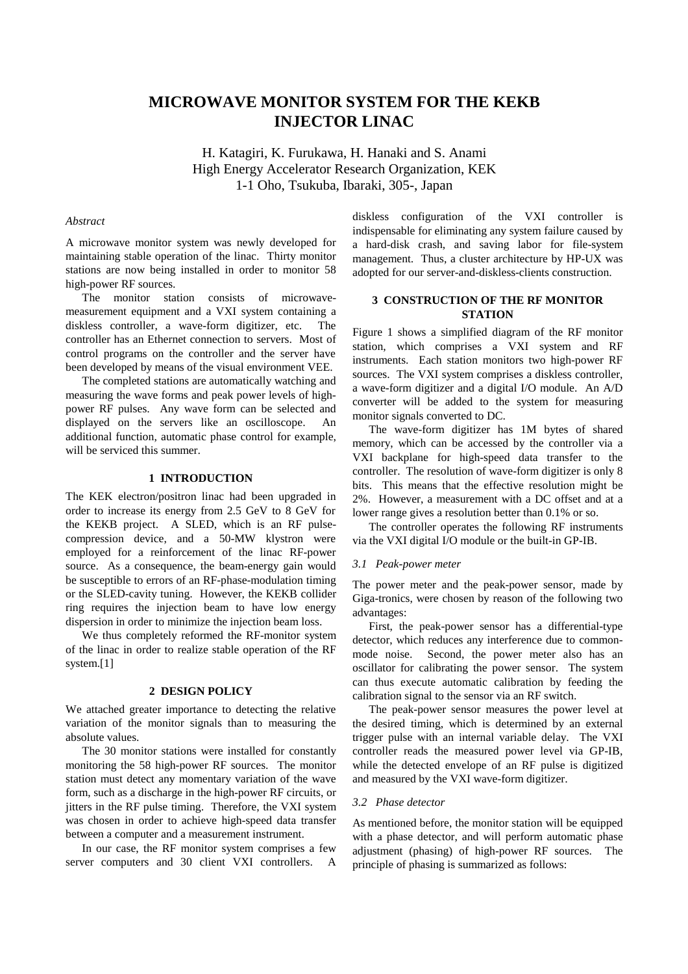# **MICROWAVE MONITOR SYSTEM FOR THE KEKB INJECTOR LINAC**

H. Katagiri, K. Furukawa, H. Hanaki and S. Anami High Energy Accelerator Research Organization, KEK 1-1 Oho, Tsukuba, Ibaraki, 305-, Japan

## *Abstract*

A microwave monitor system was newly developed for maintaining stable operation of the linac. Thirty monitor stations are now being installed in order to monitor 58 high-power RF sources.

The monitor station consists of microwavemeasurement equipment and a VXI system containing a diskless controller, a wave-form digitizer, etc. The controller has an Ethernet connection to servers. Most of control programs on the controller and the server have been developed by means of the visual environment VEE.

The completed stations are automatically watching and measuring the wave forms and peak power levels of highpower RF pulses. Any wave form can be selected and displayed on the servers like an oscilloscope. An additional function, automatic phase control for example, will be serviced this summer.

## **1 INTRODUCTION**

The KEK electron/positron linac had been upgraded in order to increase its energy from 2.5 GeV to 8 GeV for the KEKB project. A SLED, which is an RF pulsecompression device, and a 50-MW klystron were employed for a reinforcement of the linac RF-power source. As a consequence, the beam-energy gain would be susceptible to errors of an RF-phase-modulation timing or the SLED-cavity tuning. However, the KEKB collider ring requires the injection beam to have low energy dispersion in order to minimize the injection beam loss.

We thus completely reformed the RF-monitor system of the linac in order to realize stable operation of the RF system.[1]

## **2 DESIGN POLICY**

We attached greater importance to detecting the relative variation of the monitor signals than to measuring the absolute values.

The 30 monitor stations were installed for constantly monitoring the 58 high-power RF sources. The monitor station must detect any momentary variation of the wave form, such as a discharge in the high-power RF circuits, or jitters in the RF pulse timing. Therefore, the VXI system was chosen in order to achieve high-speed data transfer between a computer and a measurement instrument.

In our case, the RF monitor system comprises a few server computers and 30 client VXI controllers. A diskless configuration of the VXI controller is indispensable for eliminating any system failure caused by a hard-disk crash, and saving labor for file-system management. Thus, a cluster architecture by HP-UX was adopted for our server-and-diskless-clients construction.

# **3 CONSTRUCTION OF THE RF MONITOR STATION**

Figure 1 shows a simplified diagram of the RF monitor station, which comprises a VXI system and RF instruments. Each station monitors two high-power RF sources. The VXI system comprises a diskless controller, a wave-form digitizer and a digital I/O module. An A/D converter will be added to the system for measuring monitor signals converted to DC.

The wave-form digitizer has 1M bytes of shared memory, which can be accessed by the controller via a VXI backplane for high-speed data transfer to the controller. The resolution of wave-form digitizer is only 8 bits. This means that the effective resolution might be 2%. However, a measurement with a DC offset and at a lower range gives a resolution better than 0.1% or so.

The controller operates the following RF instruments via the VXI digital I/O module or the built-in GP-IB.

## *3.1 Peak-power meter*

The power meter and the peak-power sensor, made by Giga-tronics, were chosen by reason of the following two advantages:

First, the peak-power sensor has a differential-type detector, which reduces any interference due to commonmode noise. Second, the power meter also has an oscillator for calibrating the power sensor. The system can thus execute automatic calibration by feeding the calibration signal to the sensor via an RF switch.

The peak-power sensor measures the power level at the desired timing, which is determined by an external trigger pulse with an internal variable delay. The VXI controller reads the measured power level via GP-IB, while the detected envelope of an RF pulse is digitized and measured by the VXI wave-form digitizer.

## *3.2 Phase detector*

As mentioned before, the monitor station will be equipped with a phase detector, and will perform automatic phase adjustment (phasing) of high-power RF sources. The principle of phasing is summarized as follows: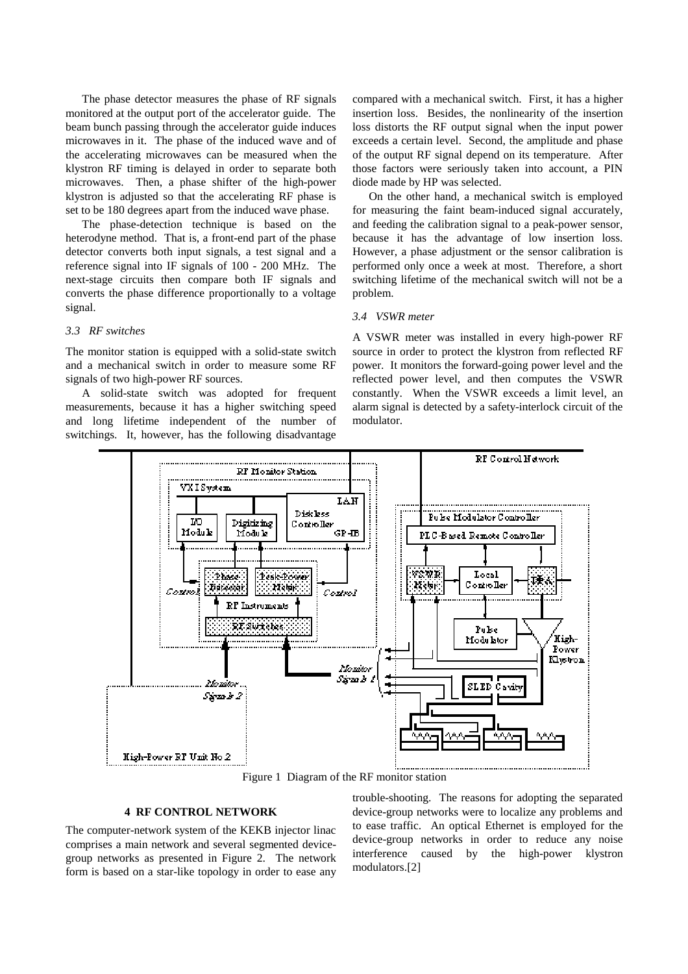The phase detector measures the phase of RF signals monitored at the output port of the accelerator guide. The beam bunch passing through the accelerator guide induces microwaves in it. The phase of the induced wave and of the accelerating microwaves can be measured when the klystron RF timing is delayed in order to separate both microwaves. Then, a phase shifter of the high-power klystron is adjusted so that the accelerating RF phase is set to be 180 degrees apart from the induced wave phase.

The phase-detection technique is based on the heterodyne method. That is, a front-end part of the phase detector converts both input signals, a test signal and a reference signal into IF signals of 100 - 200 MHz. The next-stage circuits then compare both IF signals and converts the phase difference proportionally to a voltage signal.

## *3.3 RF switches*

The monitor station is equipped with a solid-state switch and a mechanical switch in order to measure some RF signals of two high-power RF sources.

A solid-state switch was adopted for frequent measurements, because it has a higher switching speed and long lifetime independent of the number of switchings. It, however, has the following disadvantage compared with a mechanical switch. First, it has a higher insertion loss. Besides, the nonlinearity of the insertion loss distorts the RF output signal when the input power exceeds a certain level. Second, the amplitude and phase of the output RF signal depend on its temperature. After those factors were seriously taken into account, a PIN diode made by HP was selected.

On the other hand, a mechanical switch is employed for measuring the faint beam-induced signal accurately, and feeding the calibration signal to a peak-power sensor, because it has the advantage of low insertion loss. However, a phase adjustment or the sensor calibration is performed only once a week at most. Therefore, a short switching lifetime of the mechanical switch will not be a problem.

#### *3.4 VSWR meter*

A VSWR meter was installed in every high-power RF source in order to protect the klystron from reflected RF power. It monitors the forward-going power level and the reflected power level, and then computes the VSWR constantly. When the VSWR exceeds a limit level, an alarm signal is detected by a safety-interlock circuit of the modulator.



Figure 1 Diagram of the RF monitor station

## **4 RF CONTROL NETWORK**

The computer-network system of the KEKB injector linac comprises a main network and several segmented devicegroup networks as presented in Figure 2. The network form is based on a star-like topology in order to ease any trouble-shooting. The reasons for adopting the separated device-group networks were to localize any problems and to ease traffic. An optical Ethernet is employed for the device-group networks in order to reduce any noise interference caused by the high-power klystron modulators.[2]